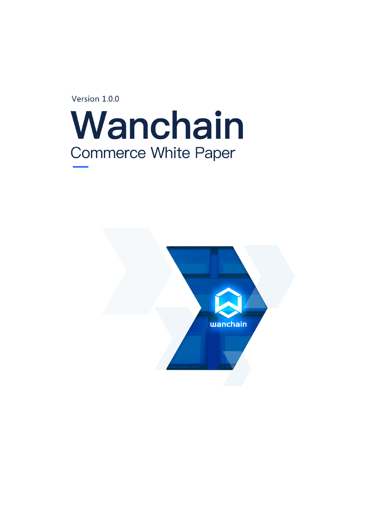Version 1.0.0



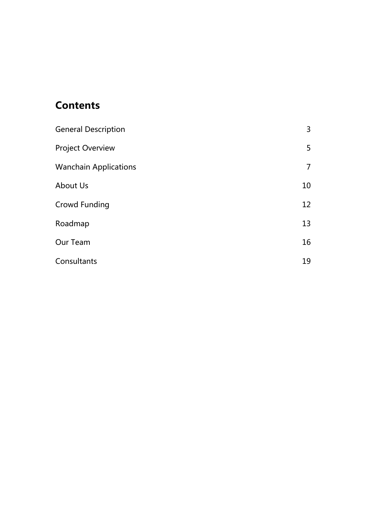# **Contents**

| <b>General Description</b>   | 3              |
|------------------------------|----------------|
| <b>Project Overview</b>      | 5              |
| <b>Wanchain Applications</b> | $\overline{7}$ |
| <b>About Us</b>              | 10             |
| <b>Crowd Funding</b>         | 12             |
| Roadmap                      | 13             |
| Our Team                     | 16             |
| Consultants                  | 19             |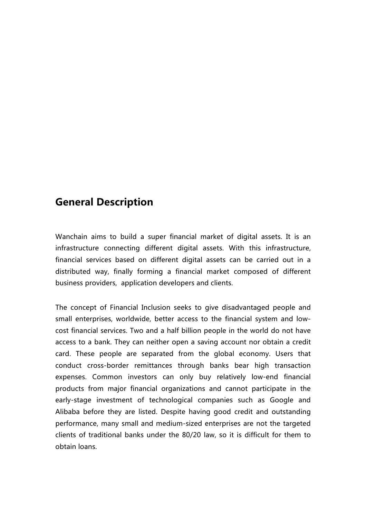### **General Description**

Wanchain aims to build a super financial market of digital assets. It is an infrastructure connecting different digital assets. With this infrastructure, financial services based on different digital assets can be carried out in a distributed way, finally forming a financial market composed of different business providers, application developers and clients.

The concept of Financial Inclusion seeks to give disadvantaged people and small enterprises, worldwide, better access to the financial system and lowcost financial services. Two and a half billion people in the world do not have access to a bank. They can neither open a saving account nor obtain a credit card. These people are separated from the global economy. Users that conduct cross-border remittances through banks bear high transaction expenses. Common investors can only buy relatively low-end financial products from major financial organizations and cannot participate in the early-stage investment of technological companies such as Google and Alibaba before they are listed. Despite having good credit and outstanding performance, many small and medium-sized enterprises are not the targeted clients of traditional banks under the 80/20 law, so it is difficult for them to obtain loans.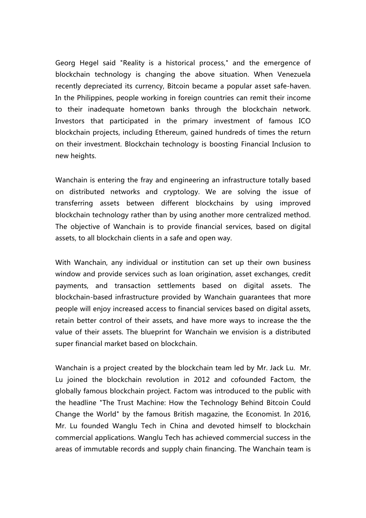Georg Hegel said "Reality is a historical process," and the emergence of blockchain technology is changing the above situation. When Venezuela recently depreciated its currency, Bitcoin became a popular asset safe-haven. In the Philippines, people working in foreign countries can remit their income to their inadequate hometown banks through the blockchain network. Investors that participated in the primary investment of famous ICO blockchain projects, including Ethereum, gained hundreds of times the return on their investment. Blockchain technology is boosting Financial Inclusion to new heights.

Wanchain is entering the fray and engineering an infrastructure totally based on distributed networks and cryptology. We are solving the issue of transferring assets between different blockchains by using improved blockchain technology rather than by using another more centralized method. The objective of Wanchain is to provide financial services, based on digital assets, to all blockchain clients in a safe and open way.

With Wanchain, any individual or institution can set up their own business window and provide services such as loan origination, asset exchanges, credit payments, and transaction settlements based on digital assets. The blockchain-based infrastructure provided by Wanchain guarantees that more people will enjoy increased access to financial services based on digital assets, retain better control of their assets, and have more ways to increase the the value of their assets. The blueprint for Wanchain we envision is a distributed super financial market based on blockchain.

Wanchain is a project created by the blockchain team led by Mr. Jack Lu. Mr. Lu joined the blockchain revolution in 2012 and cofounded Factom, the globally famous blockchain project. Factom was introduced to the public with the headline "The Trust Machine: How the Technology Behind Bitcoin Could Change the World" by the famous British magazine, the Economist. In 2016, Mr. Lu founded Wanglu Tech in China and devoted himself to blockchain commercial applications. Wanglu Tech has achieved commercial success in the areas of immutable records and supply chain financing. The Wanchain team is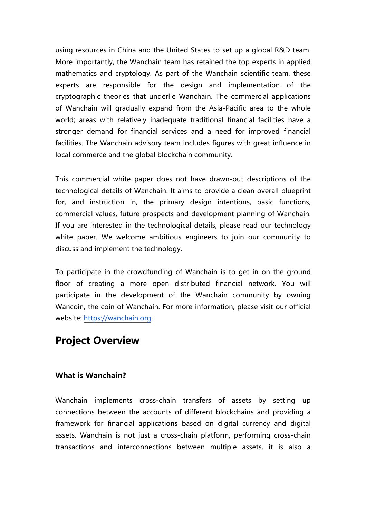using resources in China and the United States to set up a global R&D team. More importantly, the Wanchain team has retained the top experts in applied mathematics and cryptology. As part of the Wanchain scientific team, these experts are responsible for the design and implementation of the cryptographic theories that underlie Wanchain. The commercial applications of Wanchain will gradually expand from the Asia-Pacific area to the whole world; areas with relatively inadequate traditional financial facilities have a stronger demand for financial services and a need for improved financial facilities. The Wanchain advisory team includes figures with great influence in local commerce and the global blockchain community.

This commercial white paper does not have drawn-out descriptions of the technological details of Wanchain. It aims to provide a clean overall blueprint for, and instruction in, the primary design intentions, basic functions, commercial values, future prospects and development planning of Wanchain. If you are interested in the technological details, please read our technology white paper. We welcome ambitious engineers to join our community to discuss and implement the technology.

To participate in the crowdfunding of Wanchain is to get in on the ground floor of creating a more open distributed financial network. You will participate in the development of the Wanchain community by owning Wancoin, the coin of Wanchain. For more information, please visit our official website: https://wanchain.org.

### **Project Overview**

#### **What is Wanchain?**

Wanchain implements cross-chain transfers of assets by setting up connections between the accounts of different blockchains and providing a framework for financial applications based on digital currency and digital assets. Wanchain is not just a cross-chain platform, performing cross-chain transactions and interconnections between multiple assets, it is also a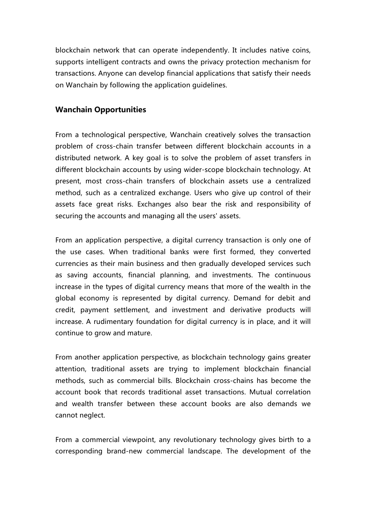blockchain network that can operate independently. It includes native coins, supports intelligent contracts and owns the privacy protection mechanism for transactions. Anyone can develop financial applications that satisfy their needs on Wanchain by following the application guidelines.

#### **Wanchain Opportunities**

From a technological perspective, Wanchain creatively solves the transaction problem of cross-chain transfer between different blockchain accounts in a distributed network. A key goal is to solve the problem of asset transfers in different blockchain accounts by using wider-scope blockchain technology. At present, most cross-chain transfers of blockchain assets use a centralized method, such as a centralized exchange. Users who give up control of their assets face great risks. Exchanges also bear the risk and responsibility of securing the accounts and managing all the users' assets.

From an application perspective, a digital currency transaction is only one of the use cases. When traditional banks were first formed, they converted currencies as their main business and then gradually developed services such as saving accounts, financial planning, and investments. The continuous increase in the types of digital currency means that more of the wealth in the global economy is represented by digital currency. Demand for debit and credit, payment settlement, and investment and derivative products will increase. A rudimentary foundation for digital currency is in place, and it will continue to grow and mature.

From another application perspective, as blockchain technology gains greater attention, traditional assets are trying to implement blockchain financial methods, such as commercial bills. Blockchain cross-chains has become the account book that records traditional asset transactions. Mutual correlation and wealth transfer between these account books are also demands we cannot neglect.

From a commercial viewpoint, any revolutionary technology gives birth to a corresponding brand-new commercial landscape. The development of the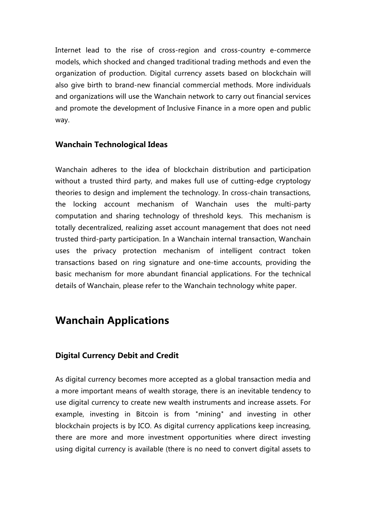Internet lead to the rise of cross-region and cross-country e-commerce models, which shocked and changed traditional trading methods and even the organization of production. Digital currency assets based on blockchain will also give birth to brand-new financial commercial methods. More individuals and organizations will use the Wanchain network to carry out financial services and promote the development of Inclusive Finance in a more open and public way.

#### **Wanchain Technological Ideas**

Wanchain adheres to the idea of blockchain distribution and participation without a trusted third party, and makes full use of cutting-edge cryptology theories to design and implement the technology. In cross-chain transactions, the locking account mechanism of Wanchain uses the multi-party computation and sharing technology of threshold keys. This mechanism is totally decentralized, realizing asset account management that does not need trusted third-party participation. In a Wanchain internal transaction, Wanchain uses the privacy protection mechanism of intelligent contract token transactions based on ring signature and one-time accounts, providing the basic mechanism for more abundant financial applications. For the technical details of Wanchain, please refer to the Wanchain technology white paper.

### **Wanchain Applications**

#### **Digital Currency Debit and Credit**

As digital currency becomes more accepted as a global transaction media and a more important means of wealth storage, there is an inevitable tendency to use digital currency to create new wealth instruments and increase assets. For example, investing in Bitcoin is from "mining" and investing in other blockchain projects is by ICO. As digital currency applications keep increasing, there are more and more investment opportunities where direct investing using digital currency is available (there is no need to convert digital assets to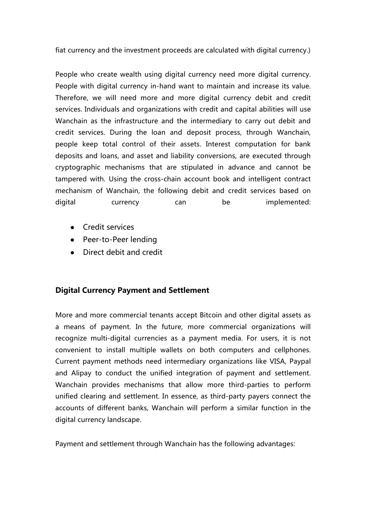fiat currency and the investment proceeds are calculated with digital currency.)

People who create wealth using digital currency need more digital currency. People with digital currency in-hand want to maintain and increase its value. Therefore, we will need more and more digital currency debit and credit services. Individuals and organizations with credit and capital abilities will use Wanchain as the infrastructure and the intermediary to carry out debit and credit services. During the loan and deposit process, through Wanchain, people keep total control of their assets. Interest computation for bank deposits and loans, and asset and liability conversions, are executed through cryptographic mechanisms that are stipulated in advance and cannot be tampered with. Using the cross-chain account book and intelligent contract mechanism of Wanchain, the following debit and credit services based on digital currency can be implemented:

- Credit services
- Peer-to-Peer lending
- Direct debit and credit

#### **Digital Currency Payment and Settlement**

More and more commercial tenants accept Bitcoin and other digital assets as a means of payment. In the future, more commercial organizations will recognize multi-digital currencies as a payment media. For users, it is not convenient to install multiple wallets on both computers and cellphones. Current payment methods need intermediary organizations like VISA, Paypal and Alipay to conduct the unified integration of payment and settlement. Wanchain provides mechanisms that allow more third-parties to perform unified clearing and settlement. In essence, as third-party payers connect the accounts of different banks, Wanchain will perform a similar function in the digital currency landscape.

Payment and settlement through Wanchain has the following advantages: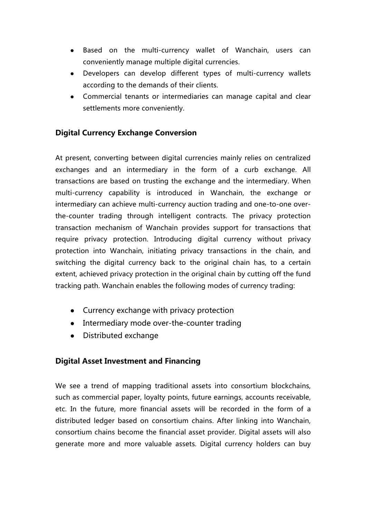- Based on the multi-currency wallet of Wanchain, users can conveniently manage multiple digital currencies.
- Developers can develop different types of multi-currency wallets according to the demands of their clients.
- Commercial tenants or intermediaries can manage capital and clear settlements more conveniently.

#### **Digital Currency Exchange Conversion**

At present, converting between digital currencies mainly relies on centralized exchanges and an intermediary in the form of a curb exchange. All transactions are based on trusting the exchange and the intermediary. When multi-currency capability is introduced in Wanchain, the exchange or intermediary can achieve multi-currency auction trading and one-to-one overthe-counter trading through intelligent contracts. The privacy protection transaction mechanism of Wanchain provides support for transactions that require privacy protection. Introducing digital currency without privacy protection into Wanchain, initiating privacy transactions in the chain, and switching the digital currency back to the original chain has, to a certain extent, achieved privacy protection in the original chain by cutting off the fund tracking path. Wanchain enables the following modes of currency trading:

- Currency exchange with privacy protection
- Intermediary mode over-the-counter trading
- Distributed exchange

#### **Digital Asset Investment and Financing**

We see a trend of mapping traditional assets into consortium blockchains, such as commercial paper, loyalty points, future earnings, accounts receivable, etc. In the future, more financial assets will be recorded in the form of a distributed ledger based on consortium chains. After linking into Wanchain, consortium chains become the financial asset provider. Digital assets will also generate more and more valuable assets. Digital currency holders can buy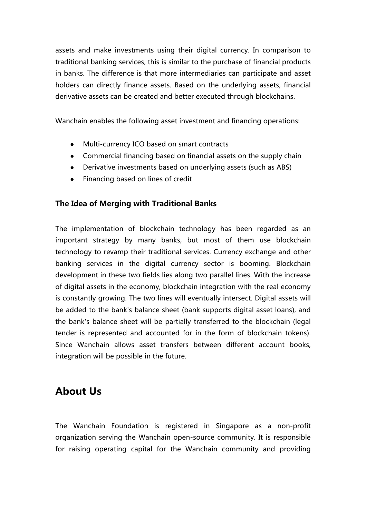assets and make investments using their digital currency. In comparison to traditional banking services, this is similar to the purchase of financial products in banks. The difference is that more intermediaries can participate and asset holders can directly finance assets. Based on the underlying assets, financial derivative assets can be created and better executed through blockchains.

Wanchain enables the following asset investment and financing operations:

- Multi-currency ICO based on smart contracts
- Commercial financing based on financial assets on the supply chain
- Derivative investments based on underlying assets (such as ABS)
- Financing based on lines of credit

#### **The Idea of Merging with Traditional Banks**

The implementation of blockchain technology has been regarded as an important strategy by many banks, but most of them use blockchain technology to revamp their traditional services. Currency exchange and other banking services in the digital currency sector is booming. Blockchain development in these two fields lies along two parallel lines. With the increase of digital assets in the economy, blockchain integration with the real economy is constantly growing. The two lines will eventually intersect. Digital assets will be added to the bank's balance sheet (bank supports digital asset loans), and the bank's balance sheet will be partially transferred to the blockchain (legal tender is represented and accounted for in the form of blockchain tokens). Since Wanchain allows asset transfers between different account books, integration will be possible in the future.

# **About Us**

The Wanchain Foundation is registered in Singapore as a non-profit organization serving the Wanchain open-source community. It is responsible for raising operating capital for the Wanchain community and providing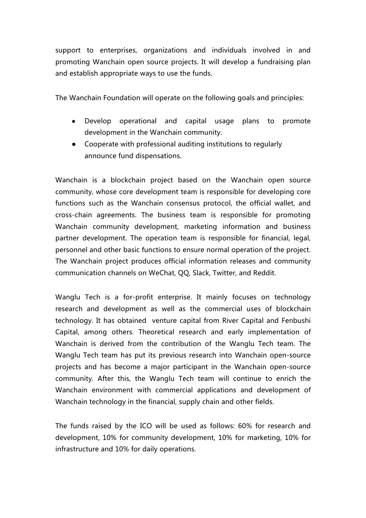support to enterprises, organizations and individuals involved in and promoting Wanchain open source projects. It will develop a fundraising plan and establish appropriate ways to use the funds.

The Wanchain Foundation will operate on the following goals and principles:

- Develop operational and capital usage plans to promote development in the Wanchain community.
- Cooperate with professional auditing institutions to regularly announce fund dispensations.

Wanchain is a blockchain project based on the Wanchain open source community, whose core development team is responsible for developing core functions such as the Wanchain consensus protocol, the official wallet, and cross-chain agreements. The business team is responsible for promoting Wanchain community development, marketing information and business partner development. The operation team is responsible for financial, legal, personnel and other basic functions to ensure normal operation of the project. The Wanchain project produces official information releases and community communication channels on WeChat, QQ, Slack, Twitter, and Reddit.

Wanglu Tech is a for-profit enterprise. It mainly focuses on technology research and development as well as the commercial uses of blockchain technology. It has obtained venture capital from River Capital and Fenbushi Capital, among others. Theoretical research and early implementation of Wanchain is derived from the contribution of the Wanglu Tech team. The Wanglu Tech team has put its previous research into Wanchain open-source projects and has become a major participant in the Wanchain open-source community. After this, the Wanglu Tech team will continue to enrich the Wanchain environment with commercial applications and development of Wanchain technology in the financial, supply chain and other fields.

The funds raised by the ICO will be used as follows: 60% for research and development, 10% for community development, 10% for marketing, 10% for infrastructure and 10% for daily operations.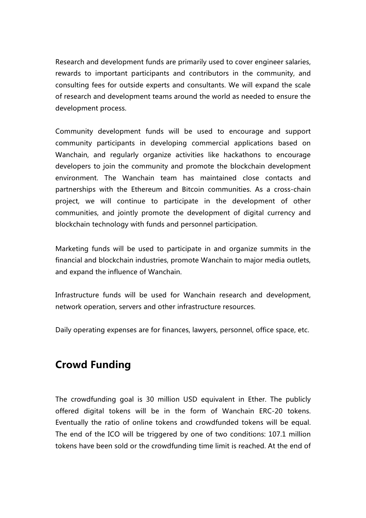Research and development funds are primarily used to cover engineer salaries, rewards to important participants and contributors in the community, and consulting fees for outside experts and consultants. We will expand the scale of research and development teams around the world as needed to ensure the development process.

Community development funds will be used to encourage and support community participants in developing commercial applications based on Wanchain, and regularly organize activities like hackathons to encourage developers to join the community and promote the blockchain development environment. The Wanchain team has maintained close contacts and partnerships with the Ethereum and Bitcoin communities. As a cross-chain project, we will continue to participate in the development of other communities, and jointly promote the development of digital currency and blockchain technology with funds and personnel participation.

Marketing funds will be used to participate in and organize summits in the financial and blockchain industries, promote Wanchain to major media outlets, and expand the influence of Wanchain.

Infrastructure funds will be used for Wanchain research and development, network operation, servers and other infrastructure resources.

Daily operating expenses are for finances, lawyers, personnel, office space, etc.

# **Crowd Funding**

The crowdfunding goal is 30 million USD equivalent in Ether. The publicly offered digital tokens will be in the form of Wanchain ERC-20 tokens. Eventually the ratio of online tokens and crowdfunded tokens will be equal. The end of the ICO will be triggered by one of two conditions: 107.1 million tokens have been sold or the crowdfunding time limit is reached. At the end of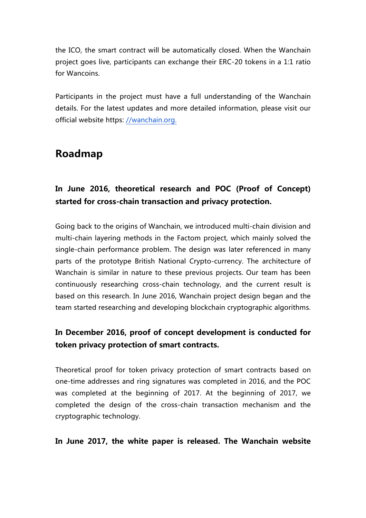the ICO, the smart contract will be automatically closed. When the Wanchain project goes live, participants can exchange their ERC-20 tokens in a 1:1 ratio for Wancoins.

Participants in the project must have a full understanding of the Wanchain details. For the latest updates and more detailed information, please visit our official website https: //wanchain.org.

### **Roadmap**

### **In June 2016, theoretical research and POC (Proof of Concept) started for cross-chain transaction and privacy protection.**

Going back to the origins of Wanchain, we introduced multi-chain division and multi-chain layering methods in the Factom project, which mainly solved the single-chain performance problem. The design was later referenced in many parts of the prototype British National Crypto-currency. The architecture of Wanchain is similar in nature to these previous projects. Our team has been continuously researching cross-chain technology, and the current result is based on this research. In June 2016, Wanchain project design began and the team started researching and developing blockchain cryptographic algorithms.

### **In December 2016, proof of concept development is conducted for token privacy protection of smart contracts.**

Theoretical proof for token privacy protection of smart contracts based on one-time addresses and ring signatures was completed in 2016, and the POC was completed at the beginning of 2017. At the beginning of 2017, we completed the design of the cross-chain transaction mechanism and the cryptographic technology.

**In June 2017, the white paper is released. The Wanchain website**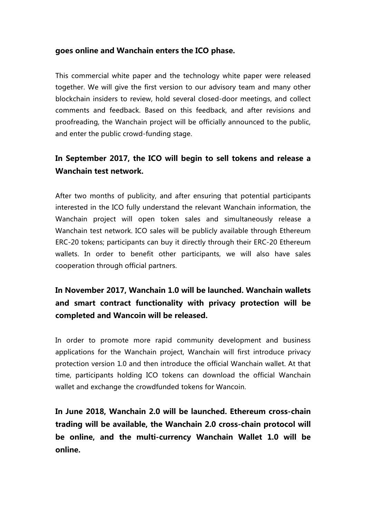#### **goes online and Wanchain enters the ICO phase.**

This commercial white paper and the technology white paper were released together. We will give the first version to our advisory team and many other blockchain insiders to review, hold several closed-door meetings, and collect comments and feedback. Based on this feedback, and after revisions and proofreading, the Wanchain project will be officially announced to the public, and enter the public crowd-funding stage.

### **In September 2017, the ICO will begin to sell tokens and release a Wanchain test network.**

After two months of publicity, and after ensuring that potential participants interested in the ICO fully understand the relevant Wanchain information, the Wanchain project will open token sales and simultaneously release a Wanchain test network. ICO sales will be publicly available through Ethereum ERC-20 tokens; participants can buy it directly through their ERC-20 Ethereum wallets. In order to benefit other participants, we will also have sales cooperation through official partners.

### **In November 2017, Wanchain 1.0 will be launched. Wanchain wallets and smart contract functionality with privacy protection will be completed and Wancoin will be released.**

In order to promote more rapid community development and business applications for the Wanchain project, Wanchain will first introduce privacy protection version 1.0 and then introduce the official Wanchain wallet. At that time, participants holding ICO tokens can download the official Wanchain wallet and exchange the crowdfunded tokens for Wancoin.

**In June 2018, Wanchain 2.0 will be launched. Ethereum cross-chain trading will be available, the Wanchain 2.0 cross-chain protocol will be online, and the multi-currency Wanchain Wallet 1.0 will be online.**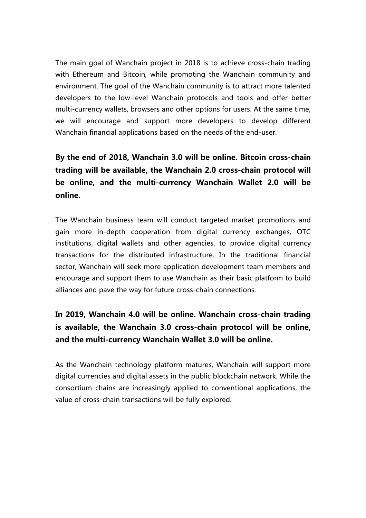The main goal of Wanchain project in 2018 is to achieve cross-chain trading with Ethereum and Bitcoin, while promoting the Wanchain community and environment. The goal of the Wanchain community is to attract more talented developers to the low-level Wanchain protocols and tools and offer better multi-currency wallets, browsers and other options for users. At the same time, we will encourage and support more developers to develop different Wanchain financial applications based on the needs of the end-user.

### **By the end of 2018, Wanchain 3.0 will be online. Bitcoin cross-chain trading will be available, the Wanchain 2.0 cross-chain protocol will be online, and the multi-currency Wanchain Wallet 2.0 will be online.**

The Wanchain business team will conduct targeted market promotions and gain more in-depth cooperation from digital currency exchanges, OTC institutions, digital wallets and other agencies, to provide digital currency transactions for the distributed infrastructure. In the traditional financial sector, Wanchain will seek more application development team members and encourage and support them to use Wanchain as their basic platform to build alliances and pave the way for future cross-chain connections.

### **In 2019, Wanchain 4.0 will be online. Wanchain cross-chain trading is available, the Wanchain 3.0 cross-chain protocol will be online, and the multi-currency Wanchain Wallet 3.0 will be online.**

As the Wanchain technology platform matures, Wanchain will support more digital currencies and digital assets in the public blockchain network. While the consortium chains are increasingly applied to conventional applications, the value of cross-chain transactions will be fully explored.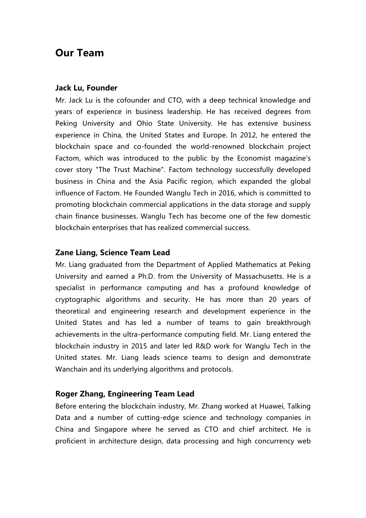### **Our Team**

#### **Jack Lu, Founder**

Mr. Jack Lu is the cofounder and CTO, with a deep technical knowledge and years of experience in business leadership. He has received degrees from Peking University and Ohio State University. He has extensive business experience in China, the United States and Europe. In 2012, he entered the blockchain space and co-founded the world-renowned blockchain project Factom, which was introduced to the public by the Economist magazine's cover story "The Trust Machine". Factom technology successfully developed business in China and the Asia Pacific region, which expanded the global influence of Factom. He Founded Wanglu Tech in 2016, which is committed to promoting blockchain commercial applications in the data storage and supply chain finance businesses. Wanglu Tech has become one of the few domestic blockchain enterprises that has realized commercial success.

#### **Zane Liang, Science Team Lead**

Mr. Liang graduated from the Department of Applied Mathematics at Peking University and earned a Ph.D. from the University of Massachusetts. He is a specialist in performance computing and has a profound knowledge of cryptographic algorithms and security. He has more than 20 years of theoretical and engineering research and development experience in the United States and has led a number of teams to gain breakthrough achievements in the ultra-performance computing field. Mr. Liang entered the blockchain industry in 2015 and later led R&D work for Wanglu Tech in the United states. Mr. Liang leads science teams to design and demonstrate Wanchain and its underlying algorithms and protocols.

#### **Roger Zhang, Engineering Team Lead**

Before entering the blockchain industry, Mr. Zhang worked at Huawei, Talking Data and a number of cutting-edge science and technology companies in China and Singapore where he served as CTO and chief architect. He is proficient in architecture design, data processing and high concurrency web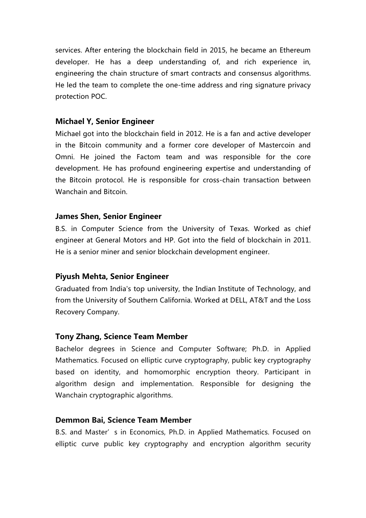services. After entering the blockchain field in 2015, he became an Ethereum developer. He has a deep understanding of, and rich experience in, engineering the chain structure of smart contracts and consensus algorithms. He led the team to complete the one-time address and ring signature privacy protection POC.

#### **Michael Y, Senior Engineer**

Michael got into the blockchain field in 2012. He is a fan and active developer in the Bitcoin community and a former core developer of Mastercoin and Omni. He joined the Factom team and was responsible for the core development. He has profound engineering expertise and understanding of the Bitcoin protocol. He is responsible for cross-chain transaction between Wanchain and Bitcoin.

#### **James Shen, Senior Engineer**

B.S. in Computer Science from the University of Texas. Worked as chief engineer at General Motors and HP. Got into the field of blockchain in 2011. He is a senior miner and senior blockchain development engineer.

#### **Piyush Mehta, Senior Engineer**

Graduated from India's top university, the Indian Institute of Technology, and from the University of Southern California. Worked at DELL, AT&T and the Loss Recovery Company.

#### **Tony Zhang, Science Team Member**

Bachelor degrees in Science and Computer Software; Ph.D. in Applied Mathematics. Focused on elliptic curve cryptography, public key cryptography based on identity, and homomorphic encryption theory. Participant in algorithm design and implementation. Responsible for designing the Wanchain cryptographic algorithms.

#### **Demmon Bai, Science Team Member**

B.S. and Master's in Economics, Ph.D. in Applied Mathematics. Focused on elliptic curve public key cryptography and encryption algorithm security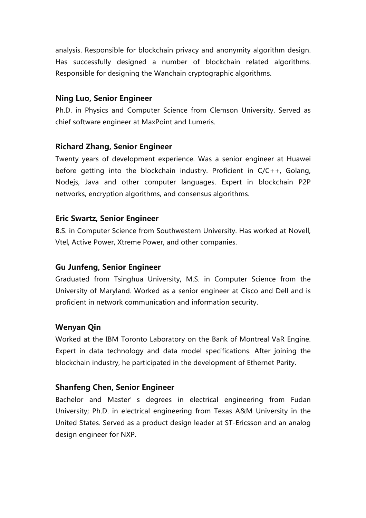analysis. Responsible for blockchain privacy and anonymity algorithm design. Has successfully designed a number of blockchain related algorithms. Responsible for designing the Wanchain cryptographic algorithms.

#### **Ning Luo, Senior Engineer**

Ph.D. in Physics and Computer Science from Clemson University. Served as chief software engineer at MaxPoint and Lumeris.

#### **Richard Zhang, Senior Engineer**

Twenty years of development experience. Was a senior engineer at Huawei before getting into the blockchain industry. Proficient in C/C++, Golang, Nodejs, Java and other computer languages. Expert in blockchain P2P networks, encryption algorithms, and consensus algorithms.

#### **Eric Swartz, Senior Engineer**

B.S. in Computer Science from Southwestern University. Has worked at Novell, Vtel, Active Power, Xtreme Power, and other companies.

#### **Gu Junfeng, Senior Engineer**

Graduated from Tsinghua University, M.S. in Computer Science from the University of Maryland. Worked as a senior engineer at Cisco and Dell and is proficient in network communication and information security.

#### **Wenyan Qin**

Worked at the IBM Toronto Laboratory on the Bank of Montreal VaR Engine. Expert in data technology and data model specifications. After joining the blockchain industry, he participated in the development of Ethernet Parity.

#### **Shanfeng Chen, Senior Engineer**

Bachelor and Master's degrees in electrical engineering from Fudan University; Ph.D. in electrical engineering from Texas A&M University in the United States. Served as a product design leader at ST-Ericsson and an analog design engineer for NXP.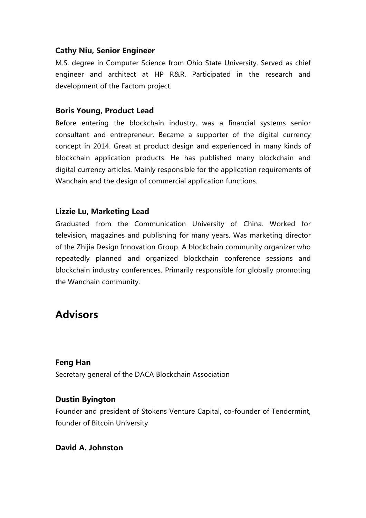#### **Cathy Niu, Senior Engineer**

M.S. degree in Computer Science from Ohio State University. Served as chief engineer and architect at HP R&R. Participated in the research and development of the Factom project.

#### **Boris Young, Product Lead**

Before entering the blockchain industry, was a financial systems senior consultant and entrepreneur. Became a supporter of the digital currency concept in 2014. Great at product design and experienced in many kinds of blockchain application products. He has published many blockchain and digital currency articles. Mainly responsible for the application requirements of Wanchain and the design of commercial application functions.

#### **Lizzie Lu, Marketing Lead**

Graduated from the Communication University of China. Worked for television, magazines and publishing for many years. Was marketing director of the Zhijia Design Innovation Group. A blockchain community organizer who repeatedly planned and organized blockchain conference sessions and blockchain industry conferences. Primarily responsible for globally promoting the Wanchain community.

### **Advisors**

#### **Feng Han**

Secretary general of the DACA Blockchain Association

#### **Dustin Byington**

Founder and president of Stokens Venture Capital, co-founder of Tendermint, founder of Bitcoin University

#### **David A. Johnston**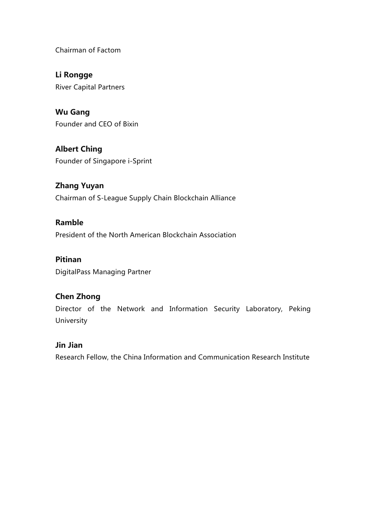Chairman of Factom

**Li Rongge**  River Capital Partners

**Wu Gang**  Founder and CEO of Bixin

**Albert Ching**  Founder of Singapore i-Sprint

**Zhang Yuyan**  Chairman of S-League Supply Chain Blockchain Alliance

**Ramble**  President of the North American Blockchain Association

**Pitinan**  DigitalPass Managing Partner

#### **Chen Zhong**

Director of the Network and Information Security Laboratory, Peking University

#### **Jin Jian**

Research Fellow, the China Information and Communication Research Institute